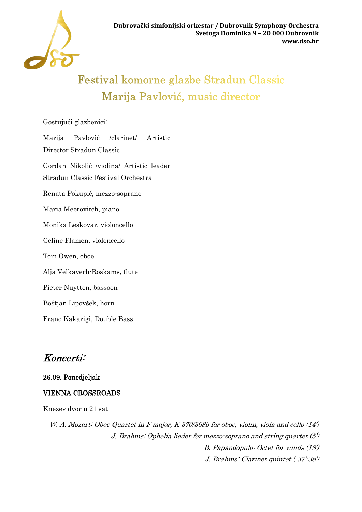

# Festival komorne glazbe Stradun Classic Marija Pavlović, music director

Gostujući glazbenici:

Marija Pavlović /clarinet/ Artistic Director Stradun Classic Gordan Nikolić /violina/ Artistic leader Stradun Classic Festival Orchestra Renata Pokupić, mezzo-soprano Maria Meerovitch, piano Monika Leskovar, violoncello Celine Flamen, violoncello Tom Owen, oboe Alja Velkaverh-Roskams, flute Pieter Nuytten, bassoon Boštjan Lipovšek, horn Frano Kakarigi, Double Bass

# Koncerti:

## 26.09. Ponedjeljak

### VIENNA CROSSROADS

Knežev dvor u 21 sat

W. A. Mozart: Oboe Quartet in <sup>F</sup> major, <sup>K</sup> 370/368b for oboe, violin, viola and cello (14') J. Brahms: Ophelia lieder for mezzo-soprano and string quartet (5') B. Papandopulo: Octet for winds (18') J. Brahms: Clarinet quintet ( 37'-38')